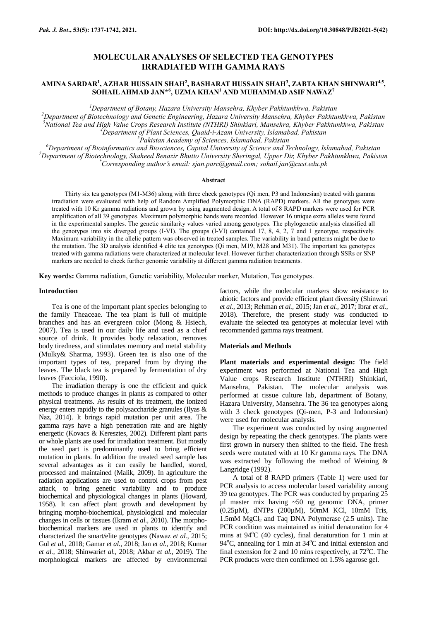# **MOLECULAR ANALYSES OF SELECTED TEA GENOTYPES IRRADIATED WITH GAMMA RAYS**

## **AMINA SARDAR<sup>1</sup> , AZHAR HUSSAIN SHAH<sup>2</sup> , BASHARAT HUSSAIN SHAH<sup>3</sup> , ZABTA KHAN SHINWARI4,5 , SOHAIL AHMAD JAN\*<sup>6</sup> , UZMA KHAN<sup>1</sup> AND MUHAMMAD ASIF NAWAZ<sup>7</sup>**

*<sup>1</sup>Department of Botany, Hazara University Mansehra, Khyber Pakhtunkhwa, Pakistan*

*<sup>2</sup>Department of Biotechnology and Genetic Engineering, Hazara University Mansehra, Khyber Pakhtunkhwa, Pakistan <sup>3</sup>National Tea and High Value Crops Research Institute (NTHRI) Shinkiari, Mansehra, Khyber Pakhtunkhwa, Pakistan <sup>4</sup>Department of Plant Sciences, Quaid-i-Azam University, Islamabad, Pakistan*

*<sup>5</sup>Pakistan Academy of Sciences, Islamabad, Pakistan*

*<sup>6</sup>Department of Bioinformatics and Biosciences, Capital University of Science and Technology, Islamabad, Pakistan <sup>7</sup>Department of Biotechnology, Shaheed Benazir Bhutto University Sheringal, Upper Dir, Khyber Pakhtunkhwa, Pakistan \*Corresponding author's email[: sjan.parc@gmail.com;](mailto:sjan.parc@gmail.com) sohail.jan@cust.edu.pk*

### **Abstract**

Thirty six tea genotypes (M1-M36) along with three check genotypes (Qi men, P3 and Indonesian) treated with gamma irradiation were evaluated with help of Random Amplified Polymorphic DNA (RAPD) markers. All the genotypes were treated with 10 Kr gamma radiations and grown by using augmented design. A total of 8 RAPD markers were used for PCR amplification of all 39 genotypes. Maximum polymorphic bands were recorded. However 16 unique extra alleles were found in the experimental samples. The genetic similarity values varied among genotypes. The phylogenetic analysis classified all the genotypes into six diverged groups (I-VI). The groups (I-VI) contained 17, 8, 4, 2, 7 and 1 genotype, respectively. Maximum variability in the allelic pattern was observed in treated samples. The variability in band patterns might be due to the mutation. The 3D analysis identified 4 elite tea genotypes (Qi men, M19, M28 and M31). The important tea genotypes treated with gamma radiations were characterized at molecular level. However further characterization through SSRs or SNP markers are needed to check further genomic variability at different gamma radiation treatments.

**Key words:** Gamma radiation, Genetic variability, Molecular marker, Mutation, Tea genotypes.

### **Introduction**

Tea is one of the important plant species belonging to the family Theaceae. The tea plant is full of multiple branches and has an evergreen color (Mong & Hsiech, 2007). Tea is used in our daily life and used as a chief source of drink. It provides body relaxation, removes body tiredness, and stimulates memory and metal stability (Mulky& Sharma, 1993). Green tea is also one of the important types of tea, prepared from by drying the leaves. The black tea is prepared by fermentation of dry leaves (Facciola, 1990).

The irradiation therapy is one the efficient and quick methods to produce changes in plants as compared to other physical treatments. As results of its treatment, the ionized energy enters rapidly to the polysaccharide granules (Ilyas & Naz, 2014). It brings rapid mutation per unit area. The gamma rays have a high penetration rate and are highly energetic (Kovacs & Keresztes, 2002). Different plant parts or whole plants are used for irradiation treatment. But mostly the seed part is predominantly used to bring efficient mutation in plants. In addition the treated seed sample has several advantages as it can easily be handled, stored, processed and maintained (Malik, 2009). In agriculture the radiation applications are used to control crops from pest attack, to bring genetic variability and to produce biochemical and physiological changes in plants (Howard, 1958). It can affect plant growth and development by bringing morpho-biochemical, physiological and molecular changes in cells or tissues (Ikram *et al.,* 2010). The morphobiochemical markers are used in plants to identify and characterized the smart/elite genotypes (Nawaz *et al.,* 2015; Gul *et al.,* 2018; Gamar *et al.,* 2018; Jan *et al.,* 2018; Kumar *et al.,* 2018; Shinwari*et al.,* 2018; Akbar *et al.,* 2019). The morphological markers are affected by environmental

factors, while the molecular markers show resistance to abiotic factors and provide efficient plant diversity (Shinwari *et al.,* 2013; Rehman *et al.,* 2015; Jan *et al.,* 2017; Ibrar *et al.,* 2018). Therefore, the present study was conducted to evaluate the selected tea genotypes at molecular level with recommended gamma rays treatment.

#### **Materials and Methods**

**Plant materials and experimental design:** The field experiment was performed at National Tea and High Value crops Research Institute (NTHRI) Shinkiari, Mansehra, Pakistan. The molecular analysis was performed at tissue culture lab, department of Botany, Hazara University, Mansehra. The 36 tea genotypes along with 3 check genotypes (Qi-men, P-3 and Indonesian) were used for molecular analysis.

The experiment was conducted by using augmented design by repeating the check genotypes. The plants were first grown in nursery then shifted to the field. The fresh seeds were mutated with at 10 Kr gamma rays. The DNA was extracted by following the method of Weining & Langridge (1992).

A total of 8 RAPD primers (Table 1) were used for PCR analysis to access molecular based variability among 39 tea genotypes. The PCR was conducted by preparing 25 µl master mix having ~50 ng genomic DNA, primer (0.25µM), dNTPs (200µM), 50mM KCl, 10mM Tris, 1.5mM  $MgCl<sub>2</sub>$  and Taq DNA Polymerase (2.5 units). The PCR condition was maintained as initial denaturation for 4 mins at  $94^{\circ}$ C (40 cycles), final denaturation for 1 min at 94 $^{\circ}$ C, annealing for 1 min at 34 $^{\circ}$ C and initial extension and final extension for 2 and 10 mins respectively, at  $72^{\circ}$ C. The PCR products were then confirmed on 1.5% agarose gel.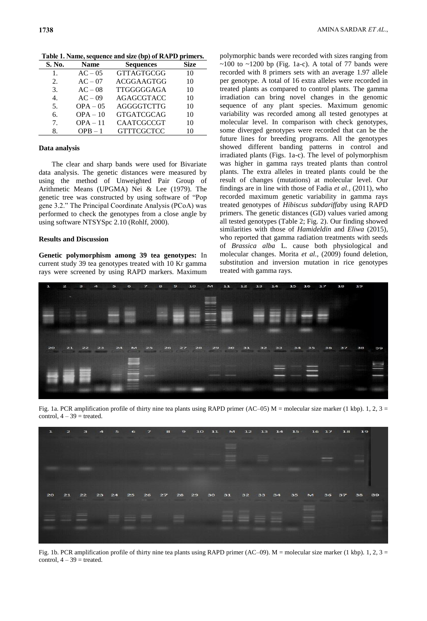| S. No.      | <b>Name</b> | <b>Sequences</b>  | Size |
|-------------|-------------|-------------------|------|
| 1.          | $AC - 05$   | <b>GTTAGTGCGG</b> | 10   |
| 2.          | $AC - 07$   | ACGGAAGTGG        | 10   |
| 3.          | $AC - 08$   | <b>TTGGGGGAGA</b> | 10   |
| 4.          | $AC - 09$   | <b>AGAGCGTACC</b> | 10   |
| 5.          | $OPA - 05$  | AGGGGTCTTG        | 10   |
| б.          | $OPA - 10$  | <b>GTGATCGCAG</b> | 10   |
| $7_{\cdot}$ | $OPA - 11$  | <b>CAATCGCCGT</b> | 10   |
| 8.          | $OPB - 1$   | <b>GTTTCGCTCC</b> | 10   |

**Table 1. Name, sequence and size (bp) of RAPD primers.**

#### **Data analysis**

The clear and sharp bands were used for Bivariate data analysis. The genetic distances were measured by using the method of Unweighted Pair Group of Arithmetic Means (UPGMA) Nei & Lee (1979). The genetic tree was constructed by using software of "Pop gene 3.2." The Principal Coordinate Analysis (PCoA) was performed to check the genotypes from a close angle by using software NTSYSpc 2.10 (Rohlf, 2000).

## **Results and Discussion**

**Genetic polymorphism among 39 tea genotypes:** In current study 39 tea genotypes treated with 10 Kr gamma rays were screened by using RAPD markers. Maximum

polymorphic bands were recorded with sizes ranging from  $\sim$ 100 to  $\sim$ 1200 bp (Fig. 1a-c). A total of 77 bands were recorded with 8 primers sets with an average 1.97 allele per genotype. A total of 16 extra alleles were recorded in treated plants as compared to control plants. The gamma irradiation can bring novel changes in the genomic sequence of any plant species. Maximum genomic variability was recorded among all tested genotypes at molecular level. In comparison with check genotypes, some diverged genotypes were recorded that can be the future lines for breeding programs. All the genotypes showed different banding patterns in control and irradiated plants (Figs. 1a-c). The level of polymorphism was higher in gamma rays treated plants than control plants. The extra alleles in treated plants could be the result of changes (mutations) at molecular level. Our findings are in line with those of Fadia *et al.,* (2011), who recorded maximum genetic variability in gamma rays treated genotypes of *Hibiscus subdariffa*by using RAPD primers. The genetic distances (GD) values varied among all tested genotypes (Table 2; Fig. 2). Our finding showed similarities with those of *Hamideldin* and *Eliwa* (2015)*,*  who reported that gamma radiation treatments with seeds of *Brassica alba* L. cause both physiological and molecular changes. Morita *et al.,* (2009) found deletion, substitution and inversion mutation in rice genotypes treated with gamma rays.



Fig. 1a. PCR amplification profile of thirty nine tea plants using RAPD primer (AC–05) M = molecular size marker (1 kbp). 1, 2, 3 = control,  $4 - 39$  = treated.



Fig. 1b. PCR amplification profile of thirty nine tea plants using RAPD primer (AC–09).  $M =$  molecular size marker (1 kbp). 1, 2, 3 = control,  $4 - 39$  = treated.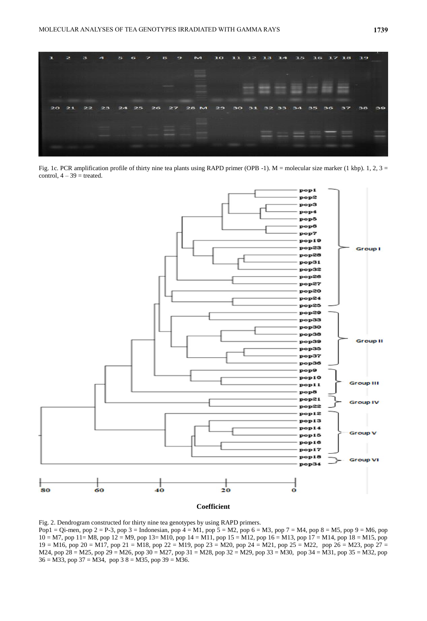

Fig. 1c. PCR amplification profile of thirty nine tea plants using RAPD primer (OPB -1). M = molecular size marker (1 kbp). 1, 2, 3 = control,  $4 - 39$  = treated.



Fig. 2. Dendrogram constructed for thirty nine tea genotypes by using RAPD primers. Pop1 = Qi-men, pop 2 = P-3, pop 3 = Indonesian, pop 4 = M1, pop 5 = M2, pop 6 = M3, pop 7 = M4, pop 8 = M5, pop 9 = M6, pop 10 = M7, pop 11= M8, pop 12 = M9, pop 13= M10, pop 14 = M11, pop 15 = M12, pop 16 = M13, pop 17 = M14, pop 18 = M15, pop  $19 = M16$ , pop 20 = M17, pop 21 = M18, pop 22 = M19, pop 23 = M20, pop 24 = M21, pop 25 = M22, pop 26 = M23, pop 27 = M24, pop 28 = M25, pop 29 = M26, pop 30 = M27, pop 31 = M28, pop 32 = M29, pop 33 = M30, pop 34 = M31, pop 35 = M32, pop

 $36 = M33$ , pop  $37 = M34$ , pop  $38 = M35$ , pop  $39 = M36$ .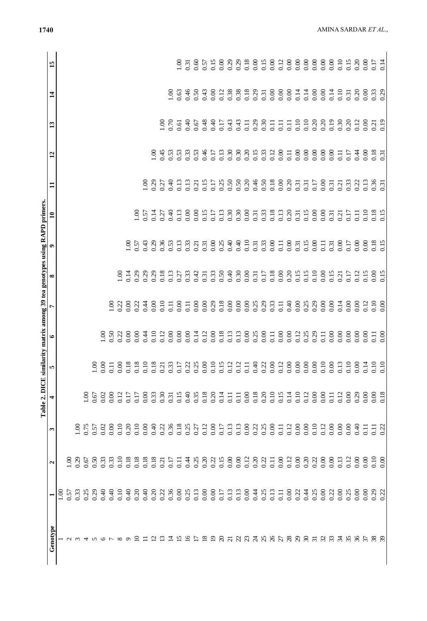| $0.29$<br>$0.29$<br>0.18<br>0.00<br>0.00<br>0.00<br>0.00<br>0.60<br>0.57<br>0.15<br>0.00<br>0.00<br>00.1<br>0.31<br>0.38<br>0.38<br>0.18<br>0.63<br>0.46<br>0.50<br>0.43<br>0.00<br>0.12<br>$\begin{array}{c} 0.31 \\ 0.00 \\ 0.00 \\ 0.00 \end{array}$<br>0.14<br>0.14<br>0.00<br>0.00<br>0.14<br>0.10<br>0.20<br>0.33<br>00.1<br>0.00<br>0.31<br>0.48<br>$0.43$<br>0.43<br>0.29<br>0.10<br>0.10<br>0.20<br>0.20<br>0.19<br>0.30<br>0.12<br>$\frac{8}{1}$<br>0.70<br>6.40<br>0.67<br>0.40<br>0.17<br>$0.11$<br>0.30<br>$\begin{array}{c} 11 \\ 0.11 \\ 0.11 \end{array}$<br>0.20<br>0.00<br>0.19<br>0.61<br>0.21<br>0.20<br>0.15<br>0.45<br>0.53<br>0.53<br>$\frac{0.33}{0.53}$<br>0.46<br>$\frac{0.13}{0.30}$<br>0.30<br>0.33<br>$0.12$<br>$0.00$<br>0.11<br>0.00<br>0.00<br>0.00<br>0.00<br>0.00<br>0.18<br>00.1<br>0.17<br>0.11<br>0.17<br>0.44<br>0.00<br>$0.\overline{3}$<br>$0.18\,$<br>0.15<br>0.50<br>0.50<br>0.20<br>0.46<br>0.00<br>0.20<br>00.1<br>0.29<br>0.13<br>0.13<br>0.17<br>0.25<br>0.50<br>0.31<br>0.17<br>0.00<br>0.33<br>0.22<br>0.13<br>$\frac{0.36}{0.31}$<br>0.27<br>0.40<br>0.31<br>0.31<br>0.21<br>0.21<br>0.13<br>0.00<br>0.00<br>0.15<br>$\begin{array}{c} 0.13 \\ 0.30 \\ 0.30 \end{array}$<br>0.00<br>$\begin{array}{c} 0.33 \\ 0.13 \\ 0.13 \end{array}$<br>0.15<br>0.00<br>0.00<br>0.10<br>0.18<br>0.15<br>$\frac{8}{1}$<br>0.57<br>0.14<br>0.40<br>0.17<br>0.31<br>0.31<br>0.17<br>0.27<br>0.31<br>0.21<br>0.11<br>0.40<br>0.10<br>0.33<br>$0.11$<br>0.00<br>0.15<br>0.00<br>$0.18\,$<br>0.15<br>00.1<br>0.57<br>0.43<br>0.29<br>0.36<br>0.53<br>0.13<br>0.33<br>0.31<br>0.00<br>0.25<br>0.00<br>0.31<br>0.11<br>0.00<br>0.17<br>0.00<br>0.31<br>0.31<br>0.00<br>0.21<br>0.15<br>0.15<br>0.14<br>0.29<br>0.29<br>0.18<br>$0.27$<br>$0.33$<br>$0.42$<br>$\frac{0.33}{0.50}$<br>$0.40$<br>$0.30$<br>0.00<br>$0.18$<br>$0.00$<br>$0.20$<br>0.10<br>0.00<br>0.15<br>0.12<br>0.15<br>0.00<br>0.15<br>0.29<br>0.13<br>0.31<br>0.17<br>0.17<br>$\widetilde{5}$<br>0.31<br>0.21<br>0.00<br>0.29<br>0.18<br>0.00<br>0.25<br>0.29<br>0.40<br>0.00<br>0.25<br>0.29<br>0.14<br>0.10<br>0.22<br>0.00<br>0.22<br>0.44<br>0.00<br>0.10<br>0.00<br>0.00<br>0.00000<br>0.33<br>0.00<br>0.00<br>0.00<br>0.00<br>0.12<br>0.00<br>$\overline{1.00}$<br>$\overline{0}$ .<br>$\overline{0}$ .<br>$\overline{0.11}$<br>0.12<br>0.12<br>0.18<br>0.13<br>0.13<br>0.00<br>0.25<br>0.0000<br>0.12<br>0.25<br>0.00<br>0.00<br>0.00<br>0.50<br>0.22<br>0.00<br>0.10<br>0.00<br>0.00<br>0.00<br>0.00<br>0.00<br>0.11<br>0.29<br>0.00<br>0.00<br>0.00<br>$\overline{1.00}$<br>0.00<br>0.44<br>0.11<br>$\overline{0}$ .<br>$\begin{array}{c} 0.000 \\ 0.000 \\ 0.000 \\ 0.010 \\ 0.000 \\ 0.000 \end{array}$<br>$\begin{array}{c} 0.00 \\ 0.01 \\ 0.11 \end{array}$<br>0.14<br>$0.10$<br>$0.10$<br>0.00<br>0.18<br>0.40<br>0.35<br>0.18<br>0.18<br>$0.20$<br>$0.10$<br>$0.15$<br>0.10<br>0.00<br>0.30<br>0.15<br>0.20<br>0.14<br>0.00<br>0.14<br>0.12<br>0.00000<br>0.12<br>0.00<br>0.29<br>0.00<br>$\overline{1.00}$<br>0.02<br>0.00<br>0.17<br>0.33<br>0.00<br>0.18<br>0.67<br>0.12<br>0.17<br>0.31<br>$\begin{array}{c} 11 \\ 0.11 \end{array}$<br>$\overline{0}$<br>0.12<br>0.10<br>0.10<br>0.20<br>0.10<br>0.40<br>0.22<br>$0.18$<br>$0.27$<br>$0.27$<br>0.12<br>0.00<br>0.13<br>0.00<br>0.22<br>0.25<br>0.00<br>0.00<br>0.12<br>0.00<br>0.00<br>0.00<br>0.75<br>0.02<br>0.00<br>0.00<br>0.36<br>0.17<br>0.13<br>0.00<br>0.40<br>0.57<br>$\overline{11}$<br>0.22<br>$\sum$<br>$\overline{1}$<br>$\overline{0}$<br>0.10<br>0.00<br>0.10<br>0.18<br>$\begin{array}{c} 0.18 \\ 0.18 \end{array}$<br>0.20<br>0.15<br>0.00000<br>0.12<br>0.20<br>0.20<br>0.00<br>0.00<br>0.13<br>0.12<br>0.00<br>0.00<br>$0.50$<br>$0.33$<br>0.33<br>0.18<br>0.25<br>0.22<br>0.22<br>0.22<br>0.100<br>0.29<br>0.67<br>0.17<br>0.44<br>0.11<br>0.00<br>0.11<br>0.21 | ω<br>2 | 4 | r. | ی | r | ∞ | ۰ | Table 2. DICE similarity matrix among 39 tea genotypes using RAPD primers<br>$\mathbf{a}$ | コ | $\overline{12}$ | 13 | $\mathbf{1}$ | 15   |
|------------------------------------------------------------------------------------------------------------------------------------------------------------------------------------------------------------------------------------------------------------------------------------------------------------------------------------------------------------------------------------------------------------------------------------------------------------------------------------------------------------------------------------------------------------------------------------------------------------------------------------------------------------------------------------------------------------------------------------------------------------------------------------------------------------------------------------------------------------------------------------------------------------------------------------------------------------------------------------------------------------------------------------------------------------------------------------------------------------------------------------------------------------------------------------------------------------------------------------------------------------------------------------------------------------------------------------------------------------------------------------------------------------------------------------------------------------------------------------------------------------------------------------------------------------------------------------------------------------------------------------------------------------------------------------------------------------------------------------------------------------------------------------------------------------------------------------------------------------------------------------------------------------------------------------------------------------------------------------------------------------------------------------------------------------------------------------------------------------------------------------------------------------------------------------------------------------------------------------------------------------------------------------------------------------------------------------------------------------------------------------------------------------------------------------------------------------------------------------------------------------------------------------------------------------------------------------------------------------------------------------------------------------------------------------------------------------------------------------------------------------------------------------------------------------------------------------------------------------------------------------------------------------------------------------------------------------------------------------------------------------------------------------------------------------------------------------------------------------------------------------------------------------------------------------------------------------------------------------------------------------------------------------------------------------------------------------------------------------------------------------------------------------------------------------------------------------------------------------------------------------------------------------------------------------------------------------------------------------------------------------------------------------------------------------------------------------------------------------------------------------------------------------------------------------------------------------------------------|--------|---|----|---|---|---|---|-------------------------------------------------------------------------------------------|---|-----------------|----|--------------|------|
|                                                                                                                                                                                                                                                                                                                                                                                                                                                                                                                                                                                                                                                                                                                                                                                                                                                                                                                                                                                                                                                                                                                                                                                                                                                                                                                                                                                                                                                                                                                                                                                                                                                                                                                                                                                                                                                                                                                                                                                                                                                                                                                                                                                                                                                                                                                                                                                                                                                                                                                                                                                                                                                                                                                                                                                                                                                                                                                                                                                                                                                                                                                                                                                                                                                                                                                                                                                                                                                                                                                                                                                                                                                                                                                                                                                                                                                      |        |   |    |   |   |   |   |                                                                                           |   |                 |    |              |      |
|                                                                                                                                                                                                                                                                                                                                                                                                                                                                                                                                                                                                                                                                                                                                                                                                                                                                                                                                                                                                                                                                                                                                                                                                                                                                                                                                                                                                                                                                                                                                                                                                                                                                                                                                                                                                                                                                                                                                                                                                                                                                                                                                                                                                                                                                                                                                                                                                                                                                                                                                                                                                                                                                                                                                                                                                                                                                                                                                                                                                                                                                                                                                                                                                                                                                                                                                                                                                                                                                                                                                                                                                                                                                                                                                                                                                                                                      |        |   |    |   |   |   |   |                                                                                           |   |                 |    |              |      |
|                                                                                                                                                                                                                                                                                                                                                                                                                                                                                                                                                                                                                                                                                                                                                                                                                                                                                                                                                                                                                                                                                                                                                                                                                                                                                                                                                                                                                                                                                                                                                                                                                                                                                                                                                                                                                                                                                                                                                                                                                                                                                                                                                                                                                                                                                                                                                                                                                                                                                                                                                                                                                                                                                                                                                                                                                                                                                                                                                                                                                                                                                                                                                                                                                                                                                                                                                                                                                                                                                                                                                                                                                                                                                                                                                                                                                                                      |        |   |    |   |   |   |   |                                                                                           |   |                 |    |              |      |
|                                                                                                                                                                                                                                                                                                                                                                                                                                                                                                                                                                                                                                                                                                                                                                                                                                                                                                                                                                                                                                                                                                                                                                                                                                                                                                                                                                                                                                                                                                                                                                                                                                                                                                                                                                                                                                                                                                                                                                                                                                                                                                                                                                                                                                                                                                                                                                                                                                                                                                                                                                                                                                                                                                                                                                                                                                                                                                                                                                                                                                                                                                                                                                                                                                                                                                                                                                                                                                                                                                                                                                                                                                                                                                                                                                                                                                                      |        |   |    |   |   |   |   |                                                                                           |   |                 |    |              |      |
|                                                                                                                                                                                                                                                                                                                                                                                                                                                                                                                                                                                                                                                                                                                                                                                                                                                                                                                                                                                                                                                                                                                                                                                                                                                                                                                                                                                                                                                                                                                                                                                                                                                                                                                                                                                                                                                                                                                                                                                                                                                                                                                                                                                                                                                                                                                                                                                                                                                                                                                                                                                                                                                                                                                                                                                                                                                                                                                                                                                                                                                                                                                                                                                                                                                                                                                                                                                                                                                                                                                                                                                                                                                                                                                                                                                                                                                      |        |   |    |   |   |   |   |                                                                                           |   |                 |    |              |      |
|                                                                                                                                                                                                                                                                                                                                                                                                                                                                                                                                                                                                                                                                                                                                                                                                                                                                                                                                                                                                                                                                                                                                                                                                                                                                                                                                                                                                                                                                                                                                                                                                                                                                                                                                                                                                                                                                                                                                                                                                                                                                                                                                                                                                                                                                                                                                                                                                                                                                                                                                                                                                                                                                                                                                                                                                                                                                                                                                                                                                                                                                                                                                                                                                                                                                                                                                                                                                                                                                                                                                                                                                                                                                                                                                                                                                                                                      |        |   |    |   |   |   |   |                                                                                           |   |                 |    |              |      |
|                                                                                                                                                                                                                                                                                                                                                                                                                                                                                                                                                                                                                                                                                                                                                                                                                                                                                                                                                                                                                                                                                                                                                                                                                                                                                                                                                                                                                                                                                                                                                                                                                                                                                                                                                                                                                                                                                                                                                                                                                                                                                                                                                                                                                                                                                                                                                                                                                                                                                                                                                                                                                                                                                                                                                                                                                                                                                                                                                                                                                                                                                                                                                                                                                                                                                                                                                                                                                                                                                                                                                                                                                                                                                                                                                                                                                                                      |        |   |    |   |   |   |   |                                                                                           |   |                 |    |              |      |
|                                                                                                                                                                                                                                                                                                                                                                                                                                                                                                                                                                                                                                                                                                                                                                                                                                                                                                                                                                                                                                                                                                                                                                                                                                                                                                                                                                                                                                                                                                                                                                                                                                                                                                                                                                                                                                                                                                                                                                                                                                                                                                                                                                                                                                                                                                                                                                                                                                                                                                                                                                                                                                                                                                                                                                                                                                                                                                                                                                                                                                                                                                                                                                                                                                                                                                                                                                                                                                                                                                                                                                                                                                                                                                                                                                                                                                                      |        |   |    |   |   |   |   |                                                                                           |   |                 |    |              |      |
|                                                                                                                                                                                                                                                                                                                                                                                                                                                                                                                                                                                                                                                                                                                                                                                                                                                                                                                                                                                                                                                                                                                                                                                                                                                                                                                                                                                                                                                                                                                                                                                                                                                                                                                                                                                                                                                                                                                                                                                                                                                                                                                                                                                                                                                                                                                                                                                                                                                                                                                                                                                                                                                                                                                                                                                                                                                                                                                                                                                                                                                                                                                                                                                                                                                                                                                                                                                                                                                                                                                                                                                                                                                                                                                                                                                                                                                      |        |   |    |   |   |   |   |                                                                                           |   |                 |    |              |      |
|                                                                                                                                                                                                                                                                                                                                                                                                                                                                                                                                                                                                                                                                                                                                                                                                                                                                                                                                                                                                                                                                                                                                                                                                                                                                                                                                                                                                                                                                                                                                                                                                                                                                                                                                                                                                                                                                                                                                                                                                                                                                                                                                                                                                                                                                                                                                                                                                                                                                                                                                                                                                                                                                                                                                                                                                                                                                                                                                                                                                                                                                                                                                                                                                                                                                                                                                                                                                                                                                                                                                                                                                                                                                                                                                                                                                                                                      |        |   |    |   |   |   |   |                                                                                           |   |                 |    |              |      |
|                                                                                                                                                                                                                                                                                                                                                                                                                                                                                                                                                                                                                                                                                                                                                                                                                                                                                                                                                                                                                                                                                                                                                                                                                                                                                                                                                                                                                                                                                                                                                                                                                                                                                                                                                                                                                                                                                                                                                                                                                                                                                                                                                                                                                                                                                                                                                                                                                                                                                                                                                                                                                                                                                                                                                                                                                                                                                                                                                                                                                                                                                                                                                                                                                                                                                                                                                                                                                                                                                                                                                                                                                                                                                                                                                                                                                                                      |        |   |    |   |   |   |   |                                                                                           |   |                 |    |              |      |
|                                                                                                                                                                                                                                                                                                                                                                                                                                                                                                                                                                                                                                                                                                                                                                                                                                                                                                                                                                                                                                                                                                                                                                                                                                                                                                                                                                                                                                                                                                                                                                                                                                                                                                                                                                                                                                                                                                                                                                                                                                                                                                                                                                                                                                                                                                                                                                                                                                                                                                                                                                                                                                                                                                                                                                                                                                                                                                                                                                                                                                                                                                                                                                                                                                                                                                                                                                                                                                                                                                                                                                                                                                                                                                                                                                                                                                                      |        |   |    |   |   |   |   |                                                                                           |   |                 |    |              |      |
|                                                                                                                                                                                                                                                                                                                                                                                                                                                                                                                                                                                                                                                                                                                                                                                                                                                                                                                                                                                                                                                                                                                                                                                                                                                                                                                                                                                                                                                                                                                                                                                                                                                                                                                                                                                                                                                                                                                                                                                                                                                                                                                                                                                                                                                                                                                                                                                                                                                                                                                                                                                                                                                                                                                                                                                                                                                                                                                                                                                                                                                                                                                                                                                                                                                                                                                                                                                                                                                                                                                                                                                                                                                                                                                                                                                                                                                      |        |   |    |   |   |   |   |                                                                                           |   |                 |    |              |      |
|                                                                                                                                                                                                                                                                                                                                                                                                                                                                                                                                                                                                                                                                                                                                                                                                                                                                                                                                                                                                                                                                                                                                                                                                                                                                                                                                                                                                                                                                                                                                                                                                                                                                                                                                                                                                                                                                                                                                                                                                                                                                                                                                                                                                                                                                                                                                                                                                                                                                                                                                                                                                                                                                                                                                                                                                                                                                                                                                                                                                                                                                                                                                                                                                                                                                                                                                                                                                                                                                                                                                                                                                                                                                                                                                                                                                                                                      |        |   |    |   |   |   |   |                                                                                           |   |                 |    |              |      |
|                                                                                                                                                                                                                                                                                                                                                                                                                                                                                                                                                                                                                                                                                                                                                                                                                                                                                                                                                                                                                                                                                                                                                                                                                                                                                                                                                                                                                                                                                                                                                                                                                                                                                                                                                                                                                                                                                                                                                                                                                                                                                                                                                                                                                                                                                                                                                                                                                                                                                                                                                                                                                                                                                                                                                                                                                                                                                                                                                                                                                                                                                                                                                                                                                                                                                                                                                                                                                                                                                                                                                                                                                                                                                                                                                                                                                                                      |        |   |    |   |   |   |   |                                                                                           |   |                 |    |              |      |
|                                                                                                                                                                                                                                                                                                                                                                                                                                                                                                                                                                                                                                                                                                                                                                                                                                                                                                                                                                                                                                                                                                                                                                                                                                                                                                                                                                                                                                                                                                                                                                                                                                                                                                                                                                                                                                                                                                                                                                                                                                                                                                                                                                                                                                                                                                                                                                                                                                                                                                                                                                                                                                                                                                                                                                                                                                                                                                                                                                                                                                                                                                                                                                                                                                                                                                                                                                                                                                                                                                                                                                                                                                                                                                                                                                                                                                                      |        |   |    |   |   |   |   |                                                                                           |   |                 |    |              |      |
|                                                                                                                                                                                                                                                                                                                                                                                                                                                                                                                                                                                                                                                                                                                                                                                                                                                                                                                                                                                                                                                                                                                                                                                                                                                                                                                                                                                                                                                                                                                                                                                                                                                                                                                                                                                                                                                                                                                                                                                                                                                                                                                                                                                                                                                                                                                                                                                                                                                                                                                                                                                                                                                                                                                                                                                                                                                                                                                                                                                                                                                                                                                                                                                                                                                                                                                                                                                                                                                                                                                                                                                                                                                                                                                                                                                                                                                      |        |   |    |   |   |   |   |                                                                                           |   |                 |    |              |      |
|                                                                                                                                                                                                                                                                                                                                                                                                                                                                                                                                                                                                                                                                                                                                                                                                                                                                                                                                                                                                                                                                                                                                                                                                                                                                                                                                                                                                                                                                                                                                                                                                                                                                                                                                                                                                                                                                                                                                                                                                                                                                                                                                                                                                                                                                                                                                                                                                                                                                                                                                                                                                                                                                                                                                                                                                                                                                                                                                                                                                                                                                                                                                                                                                                                                                                                                                                                                                                                                                                                                                                                                                                                                                                                                                                                                                                                                      |        |   |    |   |   |   |   |                                                                                           |   |                 |    |              |      |
|                                                                                                                                                                                                                                                                                                                                                                                                                                                                                                                                                                                                                                                                                                                                                                                                                                                                                                                                                                                                                                                                                                                                                                                                                                                                                                                                                                                                                                                                                                                                                                                                                                                                                                                                                                                                                                                                                                                                                                                                                                                                                                                                                                                                                                                                                                                                                                                                                                                                                                                                                                                                                                                                                                                                                                                                                                                                                                                                                                                                                                                                                                                                                                                                                                                                                                                                                                                                                                                                                                                                                                                                                                                                                                                                                                                                                                                      |        |   |    |   |   |   |   |                                                                                           |   |                 |    |              |      |
|                                                                                                                                                                                                                                                                                                                                                                                                                                                                                                                                                                                                                                                                                                                                                                                                                                                                                                                                                                                                                                                                                                                                                                                                                                                                                                                                                                                                                                                                                                                                                                                                                                                                                                                                                                                                                                                                                                                                                                                                                                                                                                                                                                                                                                                                                                                                                                                                                                                                                                                                                                                                                                                                                                                                                                                                                                                                                                                                                                                                                                                                                                                                                                                                                                                                                                                                                                                                                                                                                                                                                                                                                                                                                                                                                                                                                                                      |        |   |    |   |   |   |   |                                                                                           |   |                 |    |              |      |
|                                                                                                                                                                                                                                                                                                                                                                                                                                                                                                                                                                                                                                                                                                                                                                                                                                                                                                                                                                                                                                                                                                                                                                                                                                                                                                                                                                                                                                                                                                                                                                                                                                                                                                                                                                                                                                                                                                                                                                                                                                                                                                                                                                                                                                                                                                                                                                                                                                                                                                                                                                                                                                                                                                                                                                                                                                                                                                                                                                                                                                                                                                                                                                                                                                                                                                                                                                                                                                                                                                                                                                                                                                                                                                                                                                                                                                                      |        |   |    |   |   |   |   |                                                                                           |   |                 |    |              |      |
|                                                                                                                                                                                                                                                                                                                                                                                                                                                                                                                                                                                                                                                                                                                                                                                                                                                                                                                                                                                                                                                                                                                                                                                                                                                                                                                                                                                                                                                                                                                                                                                                                                                                                                                                                                                                                                                                                                                                                                                                                                                                                                                                                                                                                                                                                                                                                                                                                                                                                                                                                                                                                                                                                                                                                                                                                                                                                                                                                                                                                                                                                                                                                                                                                                                                                                                                                                                                                                                                                                                                                                                                                                                                                                                                                                                                                                                      |        |   |    |   |   |   |   |                                                                                           |   |                 |    |              |      |
|                                                                                                                                                                                                                                                                                                                                                                                                                                                                                                                                                                                                                                                                                                                                                                                                                                                                                                                                                                                                                                                                                                                                                                                                                                                                                                                                                                                                                                                                                                                                                                                                                                                                                                                                                                                                                                                                                                                                                                                                                                                                                                                                                                                                                                                                                                                                                                                                                                                                                                                                                                                                                                                                                                                                                                                                                                                                                                                                                                                                                                                                                                                                                                                                                                                                                                                                                                                                                                                                                                                                                                                                                                                                                                                                                                                                                                                      |        |   |    |   |   |   |   |                                                                                           |   |                 |    |              |      |
|                                                                                                                                                                                                                                                                                                                                                                                                                                                                                                                                                                                                                                                                                                                                                                                                                                                                                                                                                                                                                                                                                                                                                                                                                                                                                                                                                                                                                                                                                                                                                                                                                                                                                                                                                                                                                                                                                                                                                                                                                                                                                                                                                                                                                                                                                                                                                                                                                                                                                                                                                                                                                                                                                                                                                                                                                                                                                                                                                                                                                                                                                                                                                                                                                                                                                                                                                                                                                                                                                                                                                                                                                                                                                                                                                                                                                                                      |        |   |    |   |   |   |   |                                                                                           |   |                 |    |              |      |
|                                                                                                                                                                                                                                                                                                                                                                                                                                                                                                                                                                                                                                                                                                                                                                                                                                                                                                                                                                                                                                                                                                                                                                                                                                                                                                                                                                                                                                                                                                                                                                                                                                                                                                                                                                                                                                                                                                                                                                                                                                                                                                                                                                                                                                                                                                                                                                                                                                                                                                                                                                                                                                                                                                                                                                                                                                                                                                                                                                                                                                                                                                                                                                                                                                                                                                                                                                                                                                                                                                                                                                                                                                                                                                                                                                                                                                                      |        |   |    |   |   |   |   |                                                                                           |   |                 |    |              | 0.15 |
|                                                                                                                                                                                                                                                                                                                                                                                                                                                                                                                                                                                                                                                                                                                                                                                                                                                                                                                                                                                                                                                                                                                                                                                                                                                                                                                                                                                                                                                                                                                                                                                                                                                                                                                                                                                                                                                                                                                                                                                                                                                                                                                                                                                                                                                                                                                                                                                                                                                                                                                                                                                                                                                                                                                                                                                                                                                                                                                                                                                                                                                                                                                                                                                                                                                                                                                                                                                                                                                                                                                                                                                                                                                                                                                                                                                                                                                      |        |   |    |   |   |   |   |                                                                                           |   |                 |    |              |      |
|                                                                                                                                                                                                                                                                                                                                                                                                                                                                                                                                                                                                                                                                                                                                                                                                                                                                                                                                                                                                                                                                                                                                                                                                                                                                                                                                                                                                                                                                                                                                                                                                                                                                                                                                                                                                                                                                                                                                                                                                                                                                                                                                                                                                                                                                                                                                                                                                                                                                                                                                                                                                                                                                                                                                                                                                                                                                                                                                                                                                                                                                                                                                                                                                                                                                                                                                                                                                                                                                                                                                                                                                                                                                                                                                                                                                                                                      |        |   |    |   |   |   |   |                                                                                           |   |                 |    |              |      |
|                                                                                                                                                                                                                                                                                                                                                                                                                                                                                                                                                                                                                                                                                                                                                                                                                                                                                                                                                                                                                                                                                                                                                                                                                                                                                                                                                                                                                                                                                                                                                                                                                                                                                                                                                                                                                                                                                                                                                                                                                                                                                                                                                                                                                                                                                                                                                                                                                                                                                                                                                                                                                                                                                                                                                                                                                                                                                                                                                                                                                                                                                                                                                                                                                                                                                                                                                                                                                                                                                                                                                                                                                                                                                                                                                                                                                                                      |        |   |    |   |   |   |   |                                                                                           |   |                 |    |              |      |
|                                                                                                                                                                                                                                                                                                                                                                                                                                                                                                                                                                                                                                                                                                                                                                                                                                                                                                                                                                                                                                                                                                                                                                                                                                                                                                                                                                                                                                                                                                                                                                                                                                                                                                                                                                                                                                                                                                                                                                                                                                                                                                                                                                                                                                                                                                                                                                                                                                                                                                                                                                                                                                                                                                                                                                                                                                                                                                                                                                                                                                                                                                                                                                                                                                                                                                                                                                                                                                                                                                                                                                                                                                                                                                                                                                                                                                                      |        |   |    |   |   |   |   |                                                                                           |   |                 |    |              |      |
|                                                                                                                                                                                                                                                                                                                                                                                                                                                                                                                                                                                                                                                                                                                                                                                                                                                                                                                                                                                                                                                                                                                                                                                                                                                                                                                                                                                                                                                                                                                                                                                                                                                                                                                                                                                                                                                                                                                                                                                                                                                                                                                                                                                                                                                                                                                                                                                                                                                                                                                                                                                                                                                                                                                                                                                                                                                                                                                                                                                                                                                                                                                                                                                                                                                                                                                                                                                                                                                                                                                                                                                                                                                                                                                                                                                                                                                      |        |   |    |   |   |   |   |                                                                                           |   |                 |    |              |      |
|                                                                                                                                                                                                                                                                                                                                                                                                                                                                                                                                                                                                                                                                                                                                                                                                                                                                                                                                                                                                                                                                                                                                                                                                                                                                                                                                                                                                                                                                                                                                                                                                                                                                                                                                                                                                                                                                                                                                                                                                                                                                                                                                                                                                                                                                                                                                                                                                                                                                                                                                                                                                                                                                                                                                                                                                                                                                                                                                                                                                                                                                                                                                                                                                                                                                                                                                                                                                                                                                                                                                                                                                                                                                                                                                                                                                                                                      |        |   |    |   |   |   |   |                                                                                           |   |                 |    |              | 0.00 |
|                                                                                                                                                                                                                                                                                                                                                                                                                                                                                                                                                                                                                                                                                                                                                                                                                                                                                                                                                                                                                                                                                                                                                                                                                                                                                                                                                                                                                                                                                                                                                                                                                                                                                                                                                                                                                                                                                                                                                                                                                                                                                                                                                                                                                                                                                                                                                                                                                                                                                                                                                                                                                                                                                                                                                                                                                                                                                                                                                                                                                                                                                                                                                                                                                                                                                                                                                                                                                                                                                                                                                                                                                                                                                                                                                                                                                                                      |        |   |    |   |   |   |   |                                                                                           |   |                 |    |              |      |
|                                                                                                                                                                                                                                                                                                                                                                                                                                                                                                                                                                                                                                                                                                                                                                                                                                                                                                                                                                                                                                                                                                                                                                                                                                                                                                                                                                                                                                                                                                                                                                                                                                                                                                                                                                                                                                                                                                                                                                                                                                                                                                                                                                                                                                                                                                                                                                                                                                                                                                                                                                                                                                                                                                                                                                                                                                                                                                                                                                                                                                                                                                                                                                                                                                                                                                                                                                                                                                                                                                                                                                                                                                                                                                                                                                                                                                                      |        |   |    |   |   |   |   |                                                                                           |   |                 |    |              | 0.00 |
|                                                                                                                                                                                                                                                                                                                                                                                                                                                                                                                                                                                                                                                                                                                                                                                                                                                                                                                                                                                                                                                                                                                                                                                                                                                                                                                                                                                                                                                                                                                                                                                                                                                                                                                                                                                                                                                                                                                                                                                                                                                                                                                                                                                                                                                                                                                                                                                                                                                                                                                                                                                                                                                                                                                                                                                                                                                                                                                                                                                                                                                                                                                                                                                                                                                                                                                                                                                                                                                                                                                                                                                                                                                                                                                                                                                                                                                      |        |   |    |   |   |   |   |                                                                                           |   |                 |    |              | 0.10 |
|                                                                                                                                                                                                                                                                                                                                                                                                                                                                                                                                                                                                                                                                                                                                                                                                                                                                                                                                                                                                                                                                                                                                                                                                                                                                                                                                                                                                                                                                                                                                                                                                                                                                                                                                                                                                                                                                                                                                                                                                                                                                                                                                                                                                                                                                                                                                                                                                                                                                                                                                                                                                                                                                                                                                                                                                                                                                                                                                                                                                                                                                                                                                                                                                                                                                                                                                                                                                                                                                                                                                                                                                                                                                                                                                                                                                                                                      |        |   |    |   |   |   |   |                                                                                           |   |                 |    |              | 0.15 |
|                                                                                                                                                                                                                                                                                                                                                                                                                                                                                                                                                                                                                                                                                                                                                                                                                                                                                                                                                                                                                                                                                                                                                                                                                                                                                                                                                                                                                                                                                                                                                                                                                                                                                                                                                                                                                                                                                                                                                                                                                                                                                                                                                                                                                                                                                                                                                                                                                                                                                                                                                                                                                                                                                                                                                                                                                                                                                                                                                                                                                                                                                                                                                                                                                                                                                                                                                                                                                                                                                                                                                                                                                                                                                                                                                                                                                                                      |        |   |    |   |   |   |   |                                                                                           |   |                 |    |              | 0.20 |
|                                                                                                                                                                                                                                                                                                                                                                                                                                                                                                                                                                                                                                                                                                                                                                                                                                                                                                                                                                                                                                                                                                                                                                                                                                                                                                                                                                                                                                                                                                                                                                                                                                                                                                                                                                                                                                                                                                                                                                                                                                                                                                                                                                                                                                                                                                                                                                                                                                                                                                                                                                                                                                                                                                                                                                                                                                                                                                                                                                                                                                                                                                                                                                                                                                                                                                                                                                                                                                                                                                                                                                                                                                                                                                                                                                                                                                                      |        |   |    |   |   |   |   |                                                                                           |   |                 |    |              | 0.00 |
|                                                                                                                                                                                                                                                                                                                                                                                                                                                                                                                                                                                                                                                                                                                                                                                                                                                                                                                                                                                                                                                                                                                                                                                                                                                                                                                                                                                                                                                                                                                                                                                                                                                                                                                                                                                                                                                                                                                                                                                                                                                                                                                                                                                                                                                                                                                                                                                                                                                                                                                                                                                                                                                                                                                                                                                                                                                                                                                                                                                                                                                                                                                                                                                                                                                                                                                                                                                                                                                                                                                                                                                                                                                                                                                                                                                                                                                      |        |   |    |   |   |   |   |                                                                                           |   |                 |    |              | 0.17 |
|                                                                                                                                                                                                                                                                                                                                                                                                                                                                                                                                                                                                                                                                                                                                                                                                                                                                                                                                                                                                                                                                                                                                                                                                                                                                                                                                                                                                                                                                                                                                                                                                                                                                                                                                                                                                                                                                                                                                                                                                                                                                                                                                                                                                                                                                                                                                                                                                                                                                                                                                                                                                                                                                                                                                                                                                                                                                                                                                                                                                                                                                                                                                                                                                                                                                                                                                                                                                                                                                                                                                                                                                                                                                                                                                                                                                                                                      |        |   |    |   |   |   |   |                                                                                           |   |                 |    |              | 0.14 |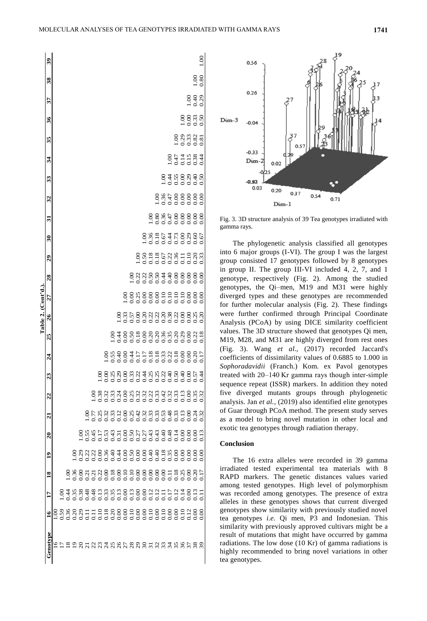1.00

S.  $0.80$ 

 $0.40$ <br>0.4.0

 $0.81$ 

င့

 $600$ 

 $00<sup>o</sup>$ 

 $0.67$ 

 $0.00$ 

 $\frac{88}{0.33}$  $0.50$ 

 $\overline{\mathbf{3}}$ Genotype 16 17 18 19 20 21 22 23 24 25 26 27 28 29 30 31 32 33 34 35 36 37 38 39  $\boldsymbol{38}$ 75  $\frac{36}{5}$ 35  $10017$ <br>  $0.158$ <br>  $0.0000$ <br>  $0.000$ 34 0.00 0.17 0.11 0.35 0.48 0.48 0.32 0.40 0.22 0.35 0.38 0.10 0.40 0.22 0.44 0.47 0.47 0.44 1.00  $\frac{34}{5}$  $-0.0000$ <br>  $-0.0000$ 33 0.10 0.11 0.00 0.18 0.40 0.53 0.42 0.22 0.33 0.36 0.20 0.10 0.44 0.67 0.67 0.36 0.36 1.00 33 32 0.00 0.12 0.00 0.40 0.43 0.33 0.33 0.25 0.18 0.20 0.22 0.00 0.50 0.18 0.18 0.80 1.00 32 31 0.10 0.12 0.00 0.40 0.43 0.33 0.22 0.25 0.18 0.20 0.22 0.00 0.50 0.18 0.36 1.00  $\vec{3}$  $\begin{array}{c} 0.000000 \\ 0.000000 \\ 0.000000 \\ 0.000000 \\ \end{array}$ 30 0.00 0.00 0.00 0.00 0.27 0.32 0.32 0.44 0.17 0.00 0.20 0.00 0.22 0.50 1.00  $\overline{\mathbf{30}}$  $\frac{0.18}{0.18}$  $0.228$ <br>  $0.38$ <br>  $0.30$ <br>  $0.30$ <br>  $0.30$ <br>  $0.33$ <br>  $0.33$  $88$ 29 0.00 0.00 0.00 0.00 0.27 0.42 0.32 0.22 0.17 0.18 0.00 0.25 0.22 1.00  $\overline{29}$ 28 0.10 0.13 0.10 0.50 0.50 0.25 0.25 0.33 0.44 0.50 0.57 0.00 1.00  $\frac{8}{2}$ **Table 2. (Cont'd.).** Table 2. (Cont'd.) 27 0.00 0.00 0.10 0.00 0.00 0.00 0.00 0.00 0.00 0.00 0.33 1.00 27 26 0.00 0.13 0.00 0.44 0.31 0.12 0.24 0.29 0.40 0.44 1.00  $\frac{8}{2}$ 25 0.20 0.35 0.18 0.40 0.43 0.33 0.33 0.25 0.55 1.00 ຕິ  $\frac{0.18}{0.18}$  $0.33$ 24 0.18 0.33 0.00 0.36 0.53 0.32 0.32 0.00 1.00  $\overline{a}$ 23 0.10 0.13 0.22 0.00 0.17 0.25 0.38 1.00 23 08888330888888888890 22 0.11 0.48 0.21 0.22 0.45 0.77 1.00  $\overline{c}$ 21 0.11 0.48 0.21 0.22 0.55 1.00 ឆ 20 0.29 0.38 0.00 0.29 1.00  $\boldsymbol{3}$ 0.35 19 0.20 0.35 0.36 1.00  $\overline{1}$  $\begin{array}{c} 0.18 \\ 0.35 \\ 0.00 \end{array}$ 18 0.36 0.44 1.00  $\overline{0.11}$  $\overline{18}$ 17 0.59 1.00  $0.36$  $0.20$  $0.10$ 16<br>19<br>19  $29$  $\Xi$ Genotyp 



Fig. 3. 3D structure analysis of 39 Tea genotypes irradiated with gamma rays.

The phylogenetic analysis classified all genotypes into 6 major groups (I-VI). The group I was the largest group consisted 17 genotypes followed by 8 genotypes in group II. The group III-VI included 4, 2, 7, and 1 genotype, respectively (Fig. 2). Among the studied genotypes, the Qi–men, M19 and M31 were highly diverged types and these genotypes are recommended for further molecular analysis (Fig. 2). These findings were further confirmed through Principal Coordinate Analysis (PCoA) by using DICE similarity coefficient values. The 3D structure showed that genotypes Qi men, M19, M28, and M31 are highly diverged from rest ones (Fig. 3). Wang *et al.,* (2017) recorded Jaccard's coefficients of dissimilarity values of 0.6885 to 1.000 in *Sophoradavidii* (Franch.) Kom. ex Pavol genotypes treated with 20–140 Kr gamma rays though inter-simple sequence repeat (ISSR) markers. In addition they noted five diverged mutants groups through phylogenetic analysis. Jan *et al.,* (2019) also identified elite genotypes of Guar through PCoA method. The present study serves as a model to bring novel mutation in other local and exotic tea genotypes through radiation therapy.

## **Conclusion**

 0.00 0.12 0.18 0.00 0.14 0.33 0.33 0.50 0.18 0.20 0.22 0.10 0.00 0.36 0.73 0.00 0.00 0.55 0.47 1.00 0.10 0.14 0.25 0.00 0.00 0.13 0.13 0.40 0.00 0.29 0.00 0.10 0.00 0.11 0.00 0.00 0.00 0.00 0.14 0.29 1.00 0.12 0.00 0.00 0.00 0.00 0.00 0.00 0.00 0.00 0.00 0.00 0.00 0.00 0.10 0.29 0.00 0.00 0.29 0.15 0.33 0.00 1.00 0.00 0.13 0.20 0.00 0.00 0.24 0.35 0.57 0.20 0.22 0.25 0.00 0.00 0.20 0.60 0.00 0.00 0.40 0.38 0.82 0.33 0.40 1.00

 $0.18$ 

 $0.00000$  $0.00$  $\sum_{i=1}^{n}$  $0.0$ 

 $0.00$  $0.20$ 

> The 16 extra alleles were recorded in 39 gamma irradiated tested experimental tea materials with 8 RAPD markers. The genetic distances values varied among tested genotypes. High level of polymorphism was recorded among genotypes. The presence of extra alleles in these genotypes shows that current diverged genotypes show similarity with previously studied novel tea genotypes *i.e.* Qi men, P3 and Indonesian. This similarity with previously approved cultivars might be a result of mutations that might have occurred by gamma radiations. The low dose (10 Kr) of gamma radiations is highly recommended to bring novel variations in other tea genotypes.